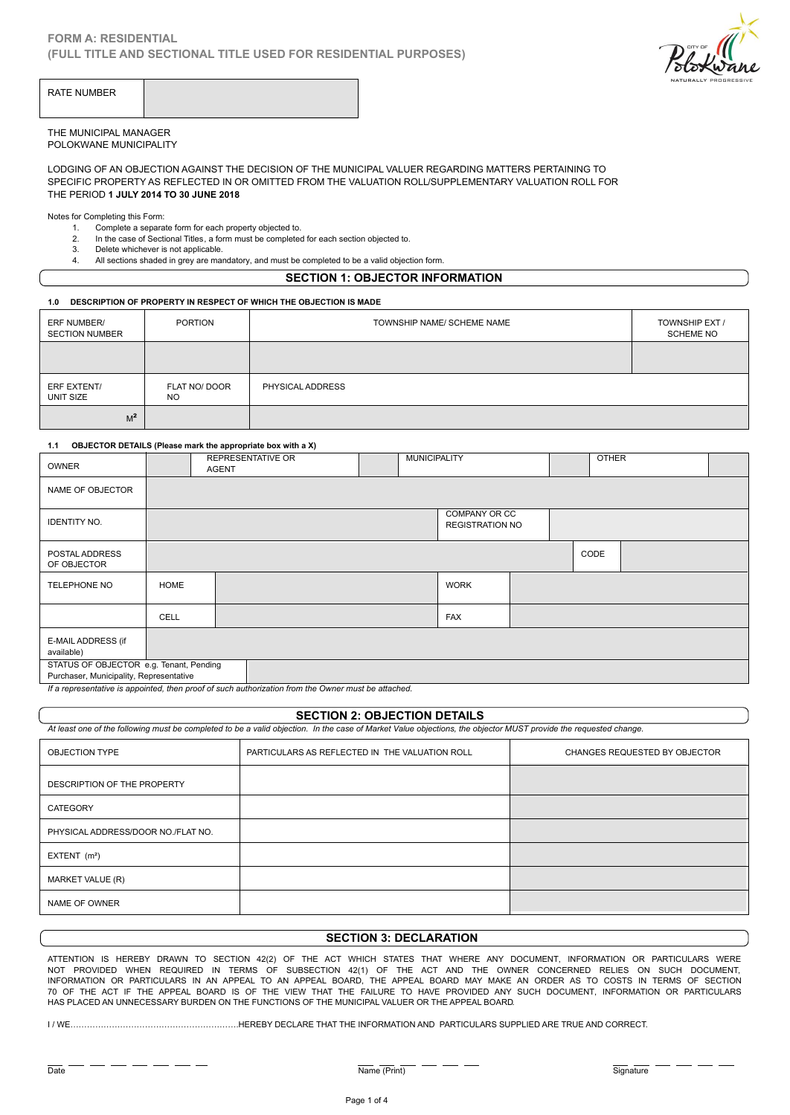

| RATE NUMBER |  |
|-------------|--|
|-------------|--|

### THE MUNICIPAL MANAGER POLOKWANE MUNICIPALITY

LODGING OF AN OBJECTION AGAINST THE DECISION OF THE MUNICIPAL VALUER REGARDING MATTERS PERTAINING TO SPECIFIC PROPERTY AS REFLECTED IN OR OMITTED FROM THE VALUATION ROLL/SUPPLEMENTARY VALUATION ROLL FOR THE PERIOD **1 JULY 2014 TO 30 JUNE 2018** MUNICIPAL MANAGER<br>
IMMUNICIPALITY<br>
ING OF AN OBJECTION AGAINST THE DECISION OF THE MU<br>
IFIC PROPERTY AS REFLECTED IN OR OMITTED FROM THE<br>
PERIOD 1 JULY 2014 TO 30 JUNE 2018<br>
for Completing this Form:<br>
1. Complete a separat MUNICIPAL MANAGER<br>2. ING OF AN OBJECTION AGAINST THE DECISION OF THE MUNICIPAL VALUER REGAINED INCORPRITY AS REFLECTED IN OR OMITTED FROM THE VALUATION ROLL/SUPP<br>2. IFIC PROPERTY AS REFLECTED IN OR OMITTED FROM THE VALUATI MUNICIPAL MANAGER<br>3. DERET MUNICIPALITY<br>3. DELET CON DEVERTY AS REFLECTED IN OR OM<br>3. DERIOD 1 JULY 2014 TO 30 JUNE 2018<br>3. Completing this Form:<br>2. In the case of Sectional Titles, a form must be<br>3. Delete whichever is no MUNICIPAL MANAGER<br>
ING OF AN OBJECTION AGAINST THE DECISION OF THE MUNICIPAL VALUER REGARDING<br>
IFIC PROPERTY AS REFLECTED IN OR OMITTED FROM THE VALUATION ROLL/SUPPLEMEN<br>
PERIOD 1 JULY 2014 TO 30 JUNE 2018<br>
tor Completing

Notes for Completing this Form:

- -
- -

## **SECTION 1: OBJECTOR INFORMATION**

#### **1.0 DESCRIPTION OF PROPERTY IN RESPECT OF WHICH THE OBJECTION IS MADE**

| ERF NUMBER/<br><b>SECTION NUMBER</b> | <b>PORTION</b>                                              |                          | TOWNSHIP NAME/ SCHEME NAME |              | TOWNSHIP EXT /<br><b>SCHEME NO</b> |  |
|--------------------------------------|-------------------------------------------------------------|--------------------------|----------------------------|--------------|------------------------------------|--|
|                                      |                                                             |                          |                            |              |                                    |  |
| ERF EXTENT/<br>UNIT SIZE             | FLAT NO/ DOOR<br><b>NO</b>                                  | PHYSICAL ADDRESS         |                            |              |                                    |  |
| M <sup>2</sup>                       |                                                             |                          |                            |              |                                    |  |
| 1.1                                  | OBJECTOR DETAILS (Please mark the appropriate box with a X) |                          |                            |              |                                    |  |
| OWNER                                | <b>AGENT</b>                                                | <b>REPRESENTATIVE OR</b> | <b>MUNICIPALITY</b>        | <b>OTHER</b> |                                    |  |

| <b>OWNER</b>                                                                            |      | <b>REPRESENTATIVE OR</b><br><b>AGENT</b> |                                                                                 | <b>MUNICIPALITY</b> |                                         | <b>OTHER</b> |  |
|-----------------------------------------------------------------------------------------|------|------------------------------------------|---------------------------------------------------------------------------------|---------------------|-----------------------------------------|--------------|--|
| NAME OF OBJECTOR                                                                        |      |                                          |                                                                                 |                     |                                         |              |  |
| <b>IDENTITY NO.</b>                                                                     |      |                                          |                                                                                 |                     | COMPANY OR CC<br><b>REGISTRATION NO</b> |              |  |
| POSTAL ADDRESS<br>OF OBJECTOR                                                           |      |                                          |                                                                                 |                     |                                         | CODE         |  |
| <b>TELEPHONE NO</b>                                                                     | HOME |                                          |                                                                                 |                     | <b>WORK</b>                             |              |  |
|                                                                                         | CELL |                                          |                                                                                 |                     | <b>FAX</b>                              |              |  |
| E-MAIL ADDRESS (if<br>available)                                                        |      |                                          |                                                                                 |                     |                                         |              |  |
| STATUS OF OBJECTOR e.g. Tenant, Pending<br>Purchaser, Municipality, Representative<br>. |      | .                                        | the contract of the contract of the contract of the contract of the contract of |                     |                                         |              |  |

*If a representative is appointed, then proof of such authorization from the Owner must be attached.*

### **SECTION 2: OBJECTION DETAILS**

*At least one of the following must be completed to be a valid objection. In the case of Market Value objections, the objector MUST provide the requested change.*

| OBJECTION TYPE                     | PARTICULARS AS REFLECTED IN THE VALUATION ROLL | CHANGES REQUESTED BY OBJECTOR |
|------------------------------------|------------------------------------------------|-------------------------------|
| DESCRIPTION OF THE PROPERTY        |                                                |                               |
| CATEGORY                           |                                                |                               |
| PHYSICAL ADDRESS/DOOR NO./FLAT NO. |                                                |                               |
| EXTENT $(m2)$                      |                                                |                               |
| MARKET VALUE (R)                   |                                                |                               |
| NAME OF OWNER                      |                                                |                               |

# **SECTION 3: DECLARATION**

ATTENTION IS HEREBY DRAWN TO SECTION 42(2) OF THE ACT WHICH STATES THAT WHERE ANY DOCUMENT, INFORMATION OR PARTICULARS WERE NOT PROVIDED WHEN REQUIRED IN TERMS OF SUBSECTION 42(1) OF THE ACT AND THE OWNER CONCERNED RELIES ON SUCH DOCUMENT, INFORMATION OR PARTICULARS IN AN APPEAL TO AN APPEAL BOARD, THE APPEAL BOARD MAY MAKE AN ORDER AS TO COSTS IN TERMS OF SECTION 70 OF THE ACT IF THE APPEAL BOARD IS OF THE VIEW THAT THE FAILURE TO HAVE PROVIDED ANY SUCH DOCUMENT, INFORMATION OR PARTICULARS HAS PLACED AN UNNECESSARY BURDEN ON THE FUNCTIONS OF THE MUNICIPAL VALUER OR THE APPEAL BOARD.

I / WE…………………………………………………….HEREBY DECLARE THAT THE INFORMATION AND PARTICULARS SUPPLIED ARE TRUE AND CORRECT.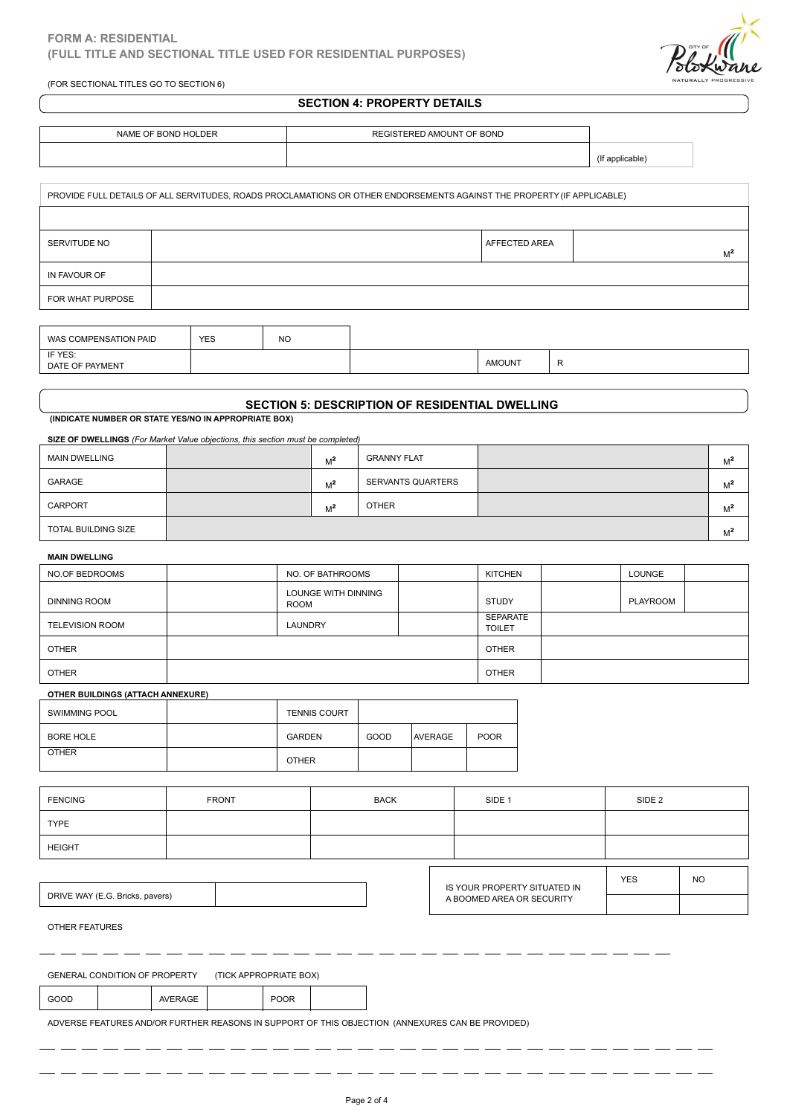(FOR SECTIONAL TITLES GO TO SECTION 6)



# **SECTION 4: PROPERTY DETAILS**

| NAME OF BOND HOLDER | REGISTERED AMOUNT OF BOND |                 |
|---------------------|---------------------------|-----------------|
|                     |                           | (If applicable) |

|                            |            |           | PROVIDE FULL DETAILS OF ALL SERVITUDES, ROADS PROCLAMATIONS OR OTHER ENDORSEMENTS AGAINST THE PROPERTY (IF APPLICABLE) |               |                |
|----------------------------|------------|-----------|------------------------------------------------------------------------------------------------------------------------|---------------|----------------|
|                            |            |           |                                                                                                                        |               |                |
| SERVITUDE NO               |            |           |                                                                                                                        | AFFECTED AREA | M <sup>2</sup> |
| IN FAVOUR OF               |            |           |                                                                                                                        |               |                |
| FOR WHAT PURPOSE           |            |           |                                                                                                                        |               |                |
|                            |            |           |                                                                                                                        |               |                |
| WAS COMPENSATION PAID      | <b>YES</b> | <b>NO</b> |                                                                                                                        |               |                |
| IF YES:<br>DATE OF PAYMENT |            |           |                                                                                                                        | <b>AMOUNT</b> | R              |
|                            |            |           |                                                                                                                        |               |                |

| IF YES:<br>DATE OF PAYMENT |  | <b>AMOUNT</b> | $\overline{\phantom{a}}$ |
|----------------------------|--|---------------|--------------------------|
|                            |  |               |                          |

### **SECTION 5: DESCRIPTION OF RESIDENTIAL DWELLING**

 **(INDICATE NUMBER OR STATE YES/NO IN APPROPRIATE BOX)**

# **SIZE OF DWELLINGS** *(For Market Value objections, this section must be completed)*

| <b>MAIN DWELLING</b> | $M^2$ | <b>GRANNY FLAT</b> | $M^2$ |  |
|----------------------|-------|--------------------|-------|--|
| GARAGE               | $M^2$ | SERVANTS QUARTERS  | $M^2$ |  |
| CARPORT              | $M^2$ | <b>OTHER</b>       | $M^2$ |  |
| TOTAL BUILDING SIZE  |       |                    | $M^2$ |  |

#### **MAIN DWELLING**

| NO.OF BEDROOMS                    | NO. OF BATHROOMS            |      |                | KITCHEN                   |  | LOUNGE   |  |
|-----------------------------------|-----------------------------|------|----------------|---------------------------|--|----------|--|
| <b>DINNING ROOM</b>               | LOUNGE WITH DINNING<br>ROOM |      |                | STUDY                     |  | PLAYROOM |  |
| <b>TELEVISION ROOM</b>            | LAUNDRY                     |      |                | SEPARATE<br><b>TOILET</b> |  |          |  |
| <b>OTHER</b>                      |                             |      |                | <b>OTHER</b>              |  |          |  |
| <b>OTHER</b>                      |                             |      |                | <b>OTHER</b>              |  |          |  |
| OTHER BUILDINGS (ATTACH ANNEXURE) |                             |      |                |                           |  |          |  |
| <b>SWIMMING POOL</b>              | <b>TENNIS COURT</b>         |      |                |                           |  |          |  |
| <b>BORE HOLE</b>                  | <b>GARDEN</b>               | GOOD | <b>AVERAGE</b> | <b>POOR</b>               |  |          |  |
| <b>OTHER</b>                      | <b>OTHER</b>                |      |                |                           |  |          |  |

#### **OTHER BUILDINGS (ATTACH ANNEXURE)**

| <b>SWIMMING POOL</b> | <b>TENNIS COURT</b> |      |                |             |
|----------------------|---------------------|------|----------------|-------------|
| <b>BORE HOLE</b>     | <b>GARDEN</b>       | GOOD | <b>AVERAGE</b> | <b>POOR</b> |
| <b>OTHER</b>         | <b>OTHER</b>        |      |                |             |

| <b>FENCING</b>        |                                 |         | <b>FRONT</b>           |             | <b>BACK</b> | SIDE <sub>1</sub>            | SIDE <sub>2</sub> |           |
|-----------------------|---------------------------------|---------|------------------------|-------------|-------------|------------------------------|-------------------|-----------|
| <b>TYPE</b>           |                                 |         |                        |             |             |                              |                   |           |
| <b>HEIGHT</b>         |                                 |         |                        |             |             |                              |                   |           |
|                       |                                 |         |                        |             |             |                              | <b>YES</b>        | <b>NO</b> |
|                       | DRIVE WAY (E.G. Bricks, pavers) |         |                        |             |             | IS YOUR PROPERTY SITUATED IN |                   |           |
|                       |                                 |         |                        |             |             | A BOOMED AREA OR SECURITY    |                   |           |
| <b>OTHER FEATURES</b> |                                 |         |                        |             |             |                              |                   |           |
|                       |                                 |         |                        |             |             |                              |                   |           |
|                       |                                 |         |                        |             |             |                              |                   |           |
|                       | GENERAL CONDITION OF PROPERTY   |         | (TICK APPROPRIATE BOX) |             |             |                              |                   |           |
| GOOD                  |                                 | AVERAGE |                        | <b>POOR</b> |             |                              |                   |           |

IS YOUR PROPERTY SITUATED IN A BOOMED AREA OR SECURITY YES | NO |

--------

| POOR<br>VERAGE<br>ദറവ<br>◡ |
|----------------------------|
|----------------------------|

ADVERSE FEATURES AND/OR FURTHER REASONS IN SUPPORT OF THIS OBJECTION (ANNEXURES CAN BE PROVIDED)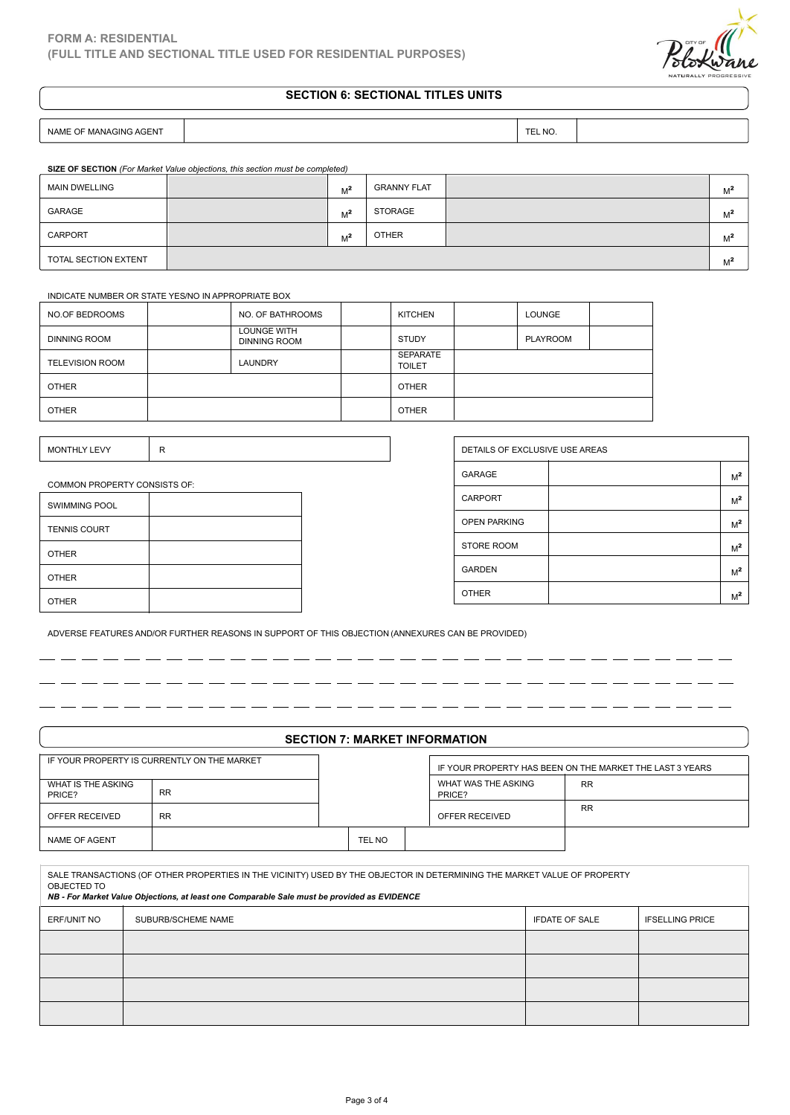# **SECTION 6: SECTIONAL TITLES UNITS**

| <b>SAGENT</b><br><b>MANAGING</b><br><b>NAME</b><br>OF |  | --<br><b>NC</b> |  |
|-------------------------------------------------------|--|-----------------|--|
|-------------------------------------------------------|--|-----------------|--|

**SIZE OF SECTION** *(For Market Value objections, this section must be completed)*

| <b>MAIN DWELLING</b> | $M^2$ | <b>GRANNY FLAT</b> | $M^2$ |  |
|----------------------|-------|--------------------|-------|--|
| GARAGE               | $M^2$ | STORAGE            | $M^2$ |  |
| CARPORT              | $M^2$ | <b>OTHER</b>       | $M^2$ |  |
| TOTAL SECTION EXTENT |       |                    | $M^2$ |  |

### INDICATE NUMBER OR STATE YES/NO IN APPROPRIATE BOX

| NO.OF BEDROOMS         | NO. OF BATHROOMS                          | <b>KITCHEN</b>            | <b>LOUNGE</b> |  |
|------------------------|-------------------------------------------|---------------------------|---------------|--|
| <b>DINNING ROOM</b>    | <b>LOUNGE WITH</b><br><b>DINNING ROOM</b> | <b>STUDY</b>              | PLAYROOM      |  |
| <b>TELEVISION ROOM</b> | <b>LAUNDRY</b>                            | SEPARATE<br><b>TOILET</b> |               |  |
| <b>OTHER</b>           |                                           | <b>OTHER</b>              |               |  |
| <b>OTHER</b>           |                                           | <b>OTHER</b>              |               |  |

| <b><i>ONTHLY LEVY</i></b><br>MC<br><br>. |  |
|------------------------------------------|--|
|                                          |  |

### COMMON PROPERTY CONSISTS OF:

| <b>SWIMMING POOL</b> |  |
|----------------------|--|
| <b>TENNIS COURT</b>  |  |
| <b>OTHER</b>         |  |
| <b>OTHER</b>         |  |
| <b>OTHER</b>         |  |

| DETAILS OF EXCLUSIVE USE AREAS |                |
|--------------------------------|----------------|
| <b>GARAGE</b>                  | M <sup>2</sup> |
| CARPORT                        | M <sup>2</sup> |
| <b>OPEN PARKING</b>            | M <sup>2</sup> |
| <b>STORE ROOM</b>              | M <sup>2</sup> |
| <b>GARDEN</b>                  | M <sup>2</sup> |
| <b>OTHER</b>                   | M <sup>2</sup> |

 $\overline{\phantom{a}}$  $\overline{a}$ 

ADVERSE FEATURES AND/OR FURTHER REASONS IN SUPPORT OF THIS OBJECTION (ANNEXURES CAN BE PROVIDED)

# **SECTION 7: MARKET INFORMATION**

|                              | IF YOUR PROPERTY IS CURRENTLY ON THE MARKET                                                                                                                                                                             |        | IF YOUR PROPERTY HAS BEEN ON THE MARKET THE LAST 3 YEARS |                       |                        |  |
|------------------------------|-------------------------------------------------------------------------------------------------------------------------------------------------------------------------------------------------------------------------|--------|----------------------------------------------------------|-----------------------|------------------------|--|
| WHAT IS THE ASKING<br>PRICE? | <b>RR</b>                                                                                                                                                                                                               |        | WHAT WAS THE ASKING<br>PRICE?                            | <b>RR</b>             |                        |  |
| OFFER RECEIVED               | <b>RR</b>                                                                                                                                                                                                               |        | OFFER RECEIVED                                           | <b>RR</b>             |                        |  |
| <b>NAME OF AGENT</b>         |                                                                                                                                                                                                                         | TEL NO |                                                          |                       |                        |  |
|                              |                                                                                                                                                                                                                         |        |                                                          |                       |                        |  |
| OBJECTED TO                  | SALE TRANSACTIONS (OF OTHER PROPERTIES IN THE VICINITY) USED BY THE OBJECTOR IN DETERMINING THE MARKET VALUE OF PROPERTY<br>NB - For Market Value Objections, at least one Comparable Sale must be provided as EVIDENCE |        |                                                          |                       |                        |  |
| <b>ERF/UNIT NO</b>           | SUBURB/SCHEME NAME                                                                                                                                                                                                      |        |                                                          | <b>IFDATE OF SALE</b> | <b>IFSELLING PRICE</b> |  |
|                              |                                                                                                                                                                                                                         |        |                                                          |                       |                        |  |